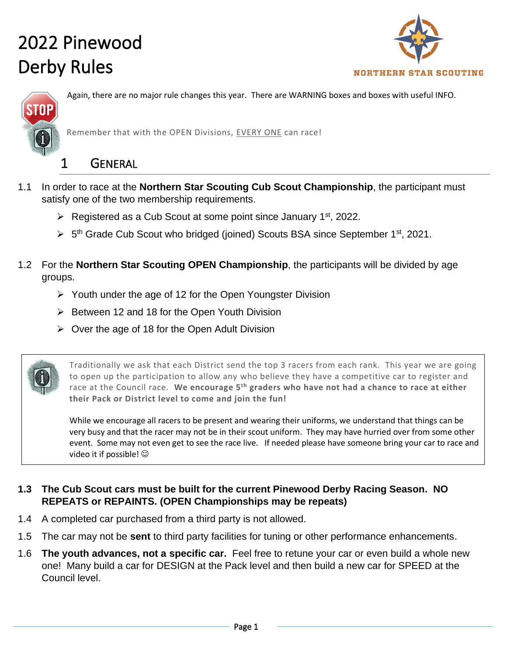



Again, there are no major rule changes this year. There are WARNING boxes and boxes with useful INFO.

Remember that with the OPEN Divisions, EVERY ONE can race!

#### 1 GENERAL

- 1.1 In order to race at the **Northern Star Scouting Cub Scout Championship**, the participant must satisfy one of the two membership requirements.
	- Exercised as a Cub Scout at some point since January  $1<sup>st</sup>$ , 2022.
	- > 5<sup>th</sup> Grade Cub Scout who bridged (joined) Scouts BSA since September 1<sup>st</sup>, 2021.
- 1.2 For the **Northern Star Scouting OPEN Championship**, the participants will be divided by age groups.
	- ➢ Youth under the age of 12 for the Open Youngster Division
	- ➢ Between 12 and 18 for the Open Youth Division
	- $\triangleright$  Over the age of 18 for the Open Adult Division

Traditionally we ask that each District send the top 3 racers from each rank. This year we are going to open up the participation to allow any who believe they have a competitive car to register and race at the Council race. **We encourage 5th graders who have not had a chance to race at either their Pack or District level to come and join the fun!** 

While we encourage all racers to be present and wearing their uniforms, we understand that things can be very busy and that the racer may not be in their scout uniform. They may have hurried over from some other event. Some may not even get to see the race live. If needed please have someone bring your car to race and video it if possible!  $\odot$ 

#### **1.3 The Cub Scout cars must be built for the current Pinewood Derby Racing Season. NO REPEATS or REPAINTS. (OPEN Championships may be repeats)**

- 1.4 A completed car purchased from a third party is not allowed.
- 1.5 The car may not be **sent** to third party facilities for tuning or other performance enhancements.
- 1.6 **The youth advances, not a specific car.** Feel free to retune your car or even build a whole new one! Many build a car for DESIGN at the Pack level and then build a new car for SPEED at the Council level.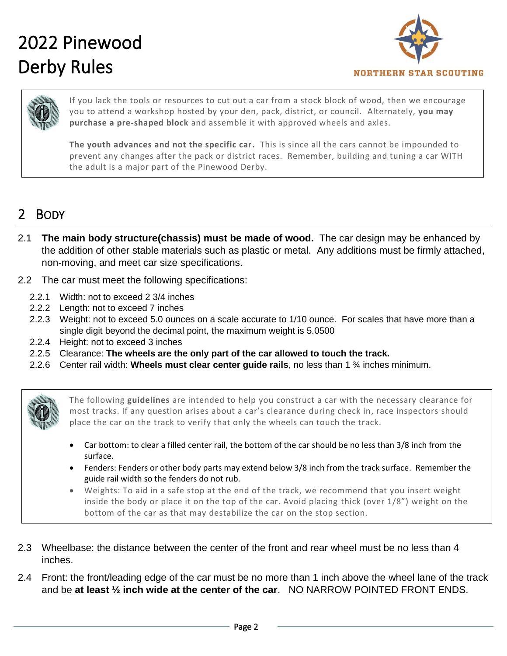

If you lack the tools or resources to cut out a car from a stock block of wood, then we encourage you to attend a workshop hosted by your den, pack, district, or council. Alternately, **you may purchase a pre-shaped block** and assemble it with approved wheels and axles.

**The youth advances and not the specific car.** This is since all the cars cannot be impounded to prevent any changes after the pack or district races. Remember, building and tuning a car WITH the adult is a major part of the Pinewood Derby.

#### 2 BODY

- 2.1 **The main body structure(chassis) must be made of wood.** The car design may be enhanced by the addition of other stable materials such as plastic or metal. Any additions must be firmly attached, non-moving, and meet car size specifications.
- 2.2 The car must meet the following specifications:
	- 2.2.1 Width: not to exceed 2 3/4 inches
	- 2.2.2 Length: not to exceed 7 inches
	- 2.2.3 Weight: not to exceed 5.0 ounces on a scale accurate to 1/10 ounce. For scales that have more than a single digit beyond the decimal point, the maximum weight is 5.0500
	- 2.2.4 Height: not to exceed 3 inches
	- 2.2.5 Clearance: **The wheels are the only part of the car allowed to touch the track.**
	- 2.2.6 Center rail width: **Wheels must clear center guide rails**, no less than 1 ¾ inches minimum.



The following **guidelines** are intended to help you construct a car with the necessary clearance for most tracks. If any question arises about a car's clearance during check in, race inspectors should place the car on the track to verify that only the wheels can touch the track.

- Car bottom: to clear a filled center rail, the bottom of the car should be no less than 3/8 inch from the surface.
- Fenders: Fenders or other body parts may extend below 3/8 inch from the track surface. Remember the guide rail width so the fenders do not rub.
- Weights: To aid in a safe stop at the end of the track, we recommend that you insert weight inside the body or place it on the top of the car. Avoid placing thick (over 1/8") weight on the bottom of the car as that may destabilize the car on the stop section.
- 2.3 Wheelbase: the distance between the center of the front and rear wheel must be no less than 4 inches.
- 2.4 Front: the front/leading edge of the car must be no more than 1 inch above the wheel lane of the track and be **at least ½ inch wide at the center of the car**. NO NARROW POINTED FRONT ENDS.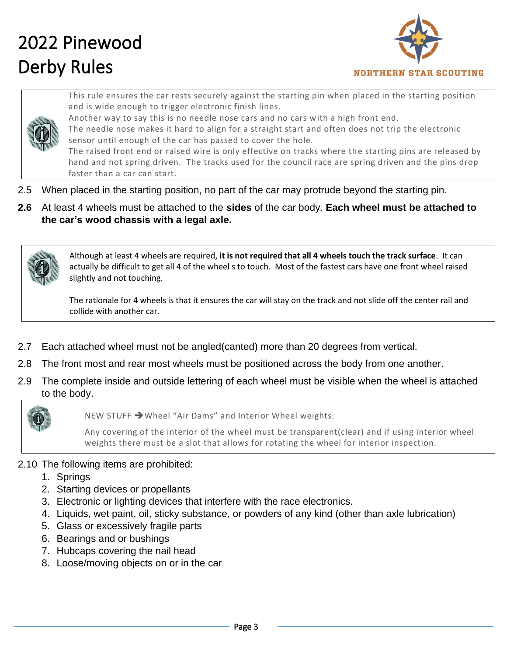

This rule ensures the car rests securely against the starting pin when placed in the starting position and is wide enough to trigger electronic finish lines.



Another way to say this is no needle nose cars and no cars with a high front end.

The needle nose makes it hard to align for a straight start and often does not trip the electronic sensor until enough of the car has passed to cover the hole. The raised front end or raised wire is only effective on tracks where the starting pins are released by

hand and not spring driven. The tracks used for the council race are spring driven and the pins drop faster than a car can start.

- 2.5 When placed in the starting position, no part of the car may protrude beyond the starting pin.
- **2.6** At least 4 wheels must be attached to the **sides** of the car body. **Each wheel must be attached to the car's wood chassis with a legal axle.**



Although at least 4 wheels are required, **it is not required that all 4 wheels touch the track surface**. It can actually be difficult to get all 4 of the wheel s to touch. Most of the fastest cars have one front wheel raised slightly and not touching.

The rationale for 4 wheels is that it ensures the car will stay on the track and not slide off the center rail and collide with another car.

- 2.7 Each attached wheel must not be angled(canted) more than 20 degrees from vertical.
- 2.8 The front most and rear most wheels must be positioned across the body from one another.
- 2.9 The complete inside and outside lettering of each wheel must be visible when the wheel is attached to the body.



NEW STUFF ➔Wheel "Air Dams" and Interior Wheel weights:

Any covering of the interior of the wheel must be transparent(clear) and if using interior wheel weights there must be a slot that allows for rotating the wheel for interior inspection.

#### 2.10 The following items are prohibited:

- 1. Springs
- 2. Starting devices or propellants
- 3. Electronic or lighting devices that interfere with the race electronics.
- 4. Liquids, wet paint, oil, sticky substance, or powders of any kind (other than axle lubrication)
- 5. Glass or excessively fragile parts
- 6. Bearings and or bushings
- 7. Hubcaps covering the nail head
- 8. Loose/moving objects on or in the car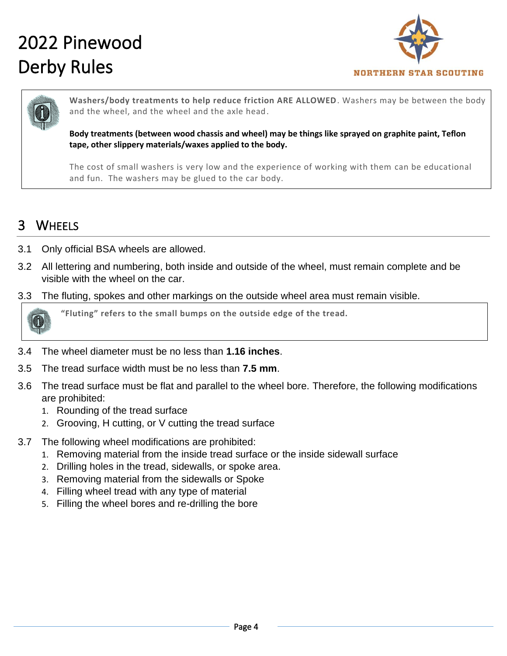

**Washers/body treatments to help reduce friction ARE ALLOWED**. Washers may be between the body and the wheel, and the wheel and the axle head.

**Body treatments (between wood chassis and wheel) may be things like sprayed on graphite paint, Teflon tape, other slippery materials/waxes applied to the body.**

The cost of small washers is very low and the experience of working with them can be educational and fun. The washers may be glued to the car body.

#### 3 WHEELS

- 3.1 Only official BSA wheels are allowed.
- 3.2 All lettering and numbering, both inside and outside of the wheel, must remain complete and be visible with the wheel on the car.
- 3.3 The fluting, spokes and other markings on the outside wheel area must remain visible.



**"Fluting" refers to the small bumps on the outside edge of the tread.**

- 3.4 The wheel diameter must be no less than **1.16 inches**.
- 3.5 The tread surface width must be no less than **7.5 mm**.
- 3.6 The tread surface must be flat and parallel to the wheel bore. Therefore, the following modifications are prohibited:
	- 1. Rounding of the tread surface
	- 2. Grooving, H cutting, or V cutting the tread surface
- 3.7 The following wheel modifications are prohibited:
	- 1. Removing material from the inside tread surface or the inside sidewall surface
	- 2. Drilling holes in the tread, sidewalls, or spoke area.
	- 3. Removing material from the sidewalls or Spoke
	- 4. Filling wheel tread with any type of material
	- 5. Filling the wheel bores and re-drilling the bore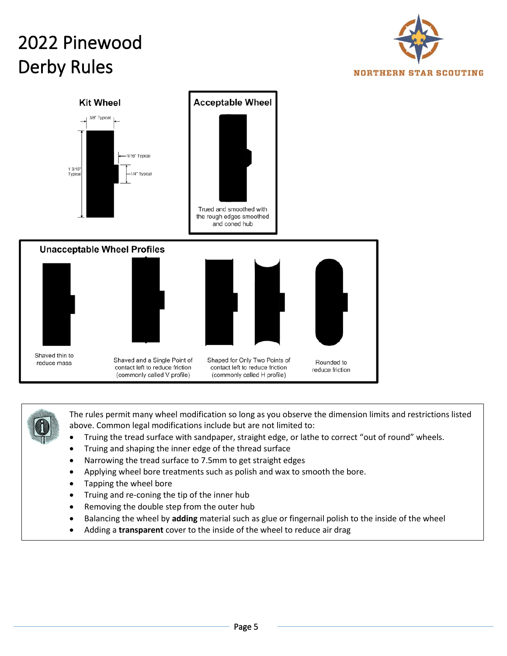





The rules permit many wheel modification so long as you observe the dimension limits and restrictions listed above. Common legal modifications include but are not limited to:

- Truing the tread surface with sandpaper, straight edge, or lathe to correct "out of round" wheels.
- Truing and shaping the inner edge of the thread surface
- Narrowing the tread surface to 7.5mm to get straight edges
- Applying wheel bore treatments such as polish and wax to smooth the bore.
- Tapping the wheel bore
- Truing and re-coning the tip of the inner hub
- Removing the double step from the outer hub
- Balancing the wheel by **adding** material such as glue or fingernail polish to the inside of the wheel
- Adding a **transparent** cover to the inside of the wheel to reduce air drag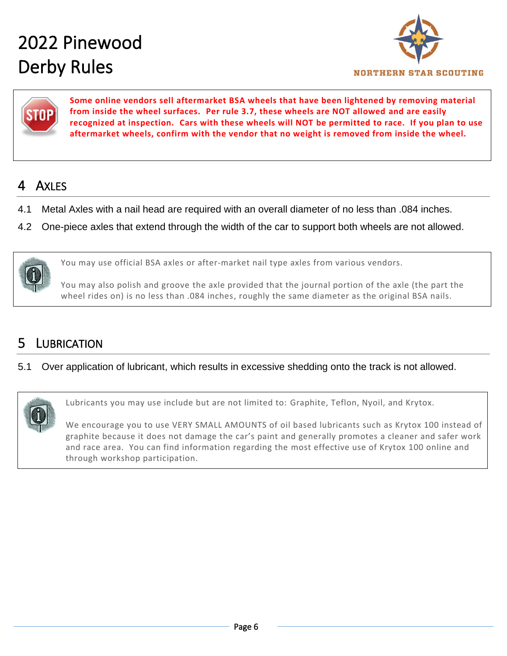



**Some online vendors sell aftermarket BSA wheels that have been lightened by removing material from inside the wheel surfaces. Per rule 3.7, these wheels are NOT allowed and are easily recognized at inspection. Cars with these wheels will NOT be permitted to race. If you plan to use aftermarket wheels, confirm with the vendor that no weight is removed from inside the wheel.** 

#### 4 AXLES

- 4.1 Metal Axles with a nail head are required with an overall diameter of no less than .084 inches.
- 4.2 One-piece axles that extend through the width of the car to support both wheels are not allowed.



You may use official BSA axles or after-market nail type axles from various vendors.

You may also polish and groove the axle provided that the journal portion of the axle (the part the wheel rides on) is no less than .084 inches, roughly the same diameter as the original BSA nails.

### **LUBRICATION**

#### 5.1 Over application of lubricant, which results in excessive shedding onto the track is not allowed.



Lubricants you may use include but are not limited to: Graphite, Teflon, Nyoil, and Krytox.

We encourage you to use VERY SMALL AMOUNTS of oil based lubricants such as Krytox 100 instead of graphite because it does not damage the car's paint and generally promotes a cleaner and safer work and race area. You can find information regarding the most effective use of Krytox 100 online and through workshop participation.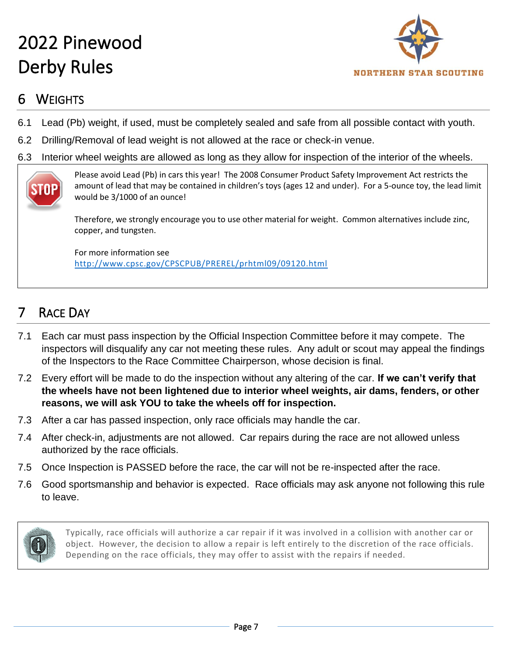

### 6 WEIGHTS

- 6.1 Lead (Pb) weight, if used, must be completely sealed and safe from all possible contact with youth.
- 6.2 Drilling/Removal of lead weight is not allowed at the race or check-in venue.
- 6.3 Interior wheel weights are allowed as long as they allow for inspection of the interior of the wheels.



Please avoid Lead (Pb) in cars this year! The 2008 Consumer Product Safety Improvement Act restricts the amount of lead that may be contained in children's toys (ages 12 and under). For a 5-ounce toy, the lead limit would be 3/1000 of an ounce!

Therefore, we strongly encourage you to use other material for weight. Common alternatives include zinc, copper, and tungsten.

For more information see <http://www.cpsc.gov/CPSCPUB/PREREL/prhtml09/09120.html>

### 7 RACE DAY

- 7.1 Each car must pass inspection by the Official Inspection Committee before it may compete. The inspectors will disqualify any car not meeting these rules. Any adult or scout may appeal the findings of the Inspectors to the Race Committee Chairperson, whose decision is final.
- 7.2 Every effort will be made to do the inspection without any altering of the car. **If we can't verify that the wheels have not been lightened due to interior wheel weights, air dams, fenders, or other reasons, we will ask YOU to take the wheels off for inspection.**
- 7.3 After a car has passed inspection, only race officials may handle the car.
- 7.4 After check-in, adjustments are not allowed. Car repairs during the race are not allowed unless authorized by the race officials.
- 7.5 Once Inspection is PASSED before the race, the car will not be re-inspected after the race.
- 7.6 Good sportsmanship and behavior is expected. Race officials may ask anyone not following this rule to leave.



Typically, race officials will authorize a car repair if it was involved in a collision with another car or object. However, the decision to allow a repair is left entirely to the discretion of the race officials. Depending on the race officials, they may offer to assist with the repairs if needed.